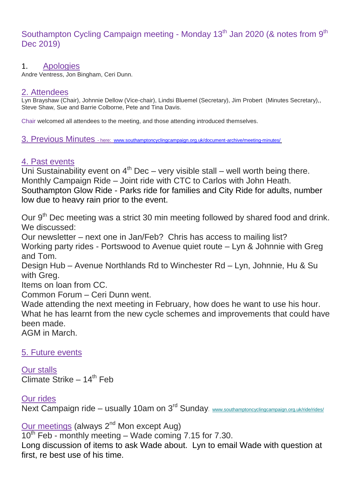# Southampton Cycling Campaign meeting - Monday 13<sup>th</sup> Jan 2020 (& notes from 9<sup>th</sup> Dec 2019)

#### 1. Apologies

Andre Ventress, Jon Bingham, Ceri Dunn.

#### 2. Attendees

Lyn Brayshaw (Chair), Johnnie Dellow (Vice-chair), Lindsi Bluemel (Secretary), Jim Probert (Minutes Secretary),, Steve Shaw, Sue and Barrie Colborne, Pete and Tina Davis.

Chair welcomed all attendees to the meeting, and those attending introduced themselves.

3. Previous Minutes - here: [www.southamptoncyclingcampaign.org.uk/document-archive/meeting-minutes/](http://www.southamptoncyclingcampaign.org.uk/document-archive/meeting-minutes/)

## 4. Past events

Uni Sustainability event on  $4<sup>th</sup>$  Dec – very visible stall – well worth being there. Monthly Campaign Ride – Joint ride with CTC to Carlos with John Heath. Southampton Glow Ride - Parks ride for families and City Ride for adults, number low due to heavy rain prior to the event.

Our 9<sup>th</sup> Dec meeting was a strict 30 min meeting followed by shared food and drink. We discussed: Our newsletter – next one in Jan/Feb? Chris has access to mailing list?

Working party rides - Portswood to Avenue quiet route – Lyn & Johnnie with Greg and Tom.

Design Hub – Avenue Northlands Rd to Winchester Rd – Lyn, Johnnie, Hu & Su with Greg.

Items on loan from CC.

Common Forum – Ceri Dunn went.

Wade attending the next meeting in February, how does he want to use his hour. What he has learnt from the new cycle schemes and improvements that could have been made. AGM in March.

### 5. Future events

Our stalls  $\overline{\text{Climate}}$  Strike – 14<sup>th</sup> Feb

### Our rides

Next Campaign ride – usually 10am on 3<sup>rd</sup> Sunday. [www.southamptoncyclingcampaign.org.uk/ride/rides/](http://www.southamptoncyclingcampaign.org.uk/ride/rides/)

Our meetings (always 2<sup>nd</sup> Mon except Aug)

 $10^{th}$  Feb - monthly meeting – Wade coming 7.15 for 7.30.

Long discussion of items to ask Wade about. Lyn to email Wade with question at first, re best use of his time.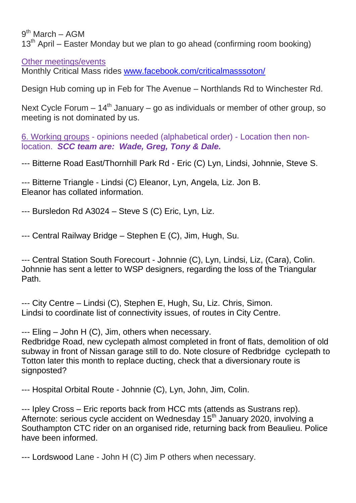9<sup>th</sup> March – AGM

 $13<sup>th</sup>$  April – Easter Monday but we plan to go ahead (confirming room booking)

Other meetings/events

Monthly Critical Mass rides [www.facebook.com/criticalmasssoton/](https://www.facebook.com/criticalmasssoton/)

Design Hub coming up in Feb for The Avenue – Northlands Rd to Winchester Rd.

Next Cycle Forum  $-14<sup>th</sup>$  January – go as individuals or member of other group, so meeting is not dominated by us.

6. Working groups - opinions needed (alphabetical order) - Location then nonlocation. *SCC team are: Wade, Greg, Tony & Dale.*

--- Bitterne Road East/Thornhill Park Rd - Eric (C) Lyn, Lindsi, Johnnie, Steve S.

--- Bitterne Triangle - Lindsi (C) Eleanor, Lyn, Angela, Liz. Jon B. Eleanor has collated information.

--- Bursledon Rd A3024 – Steve S (C) Eric, Lyn, Liz.

--- Central Railway Bridge – Stephen E (C), Jim, Hugh, Su.

--- Central Station South Forecourt - Johnnie (C), Lyn, Lindsi, Liz, (Cara), Colin. Johnnie has sent a letter to WSP designers, regarding the loss of the Triangular Path.

--- City Centre – Lindsi (C), Stephen E, Hugh, Su, Liz. Chris, Simon. Lindsi to coordinate list of connectivity issues, of routes in City Centre.

--- Eling – John H (C), Jim, others when necessary.

Redbridge Road, new cyclepath almost completed in front of flats, demolition of old subway in front of Nissan garage still to do. Note closure of Redbridge cyclepath to Totton later this month to replace ducting, check that a diversionary route is signposted?

--- Hospital Orbital Route - Johnnie (C), Lyn, John, Jim, Colin.

--- Ipley Cross – Eric reports back from HCC mts (attends as Sustrans rep). Afternote: serious cycle accident on Wednesday 15<sup>th</sup> January 2020, involving a Southampton CTC rider on an organised ride, returning back from Beaulieu. Police have been informed.

--- Lordswood Lane - John H (C) Jim P others when necessary.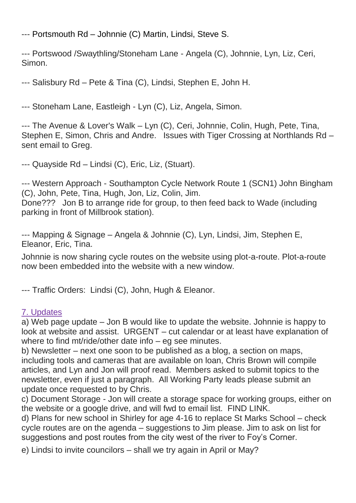--- Portsmouth Rd – Johnnie (C) Martin, Lindsi, Steve S.

--- Portswood /Swaythling/Stoneham Lane - Angela (C), Johnnie, Lyn, Liz, Ceri, Simon.

--- Salisbury Rd – Pete & Tina (C), Lindsi, Stephen E, John H.

--- Stoneham Lane, Eastleigh - Lyn (C), Liz, Angela, Simon.

--- The Avenue & Lover's Walk – Lyn (C), Ceri, Johnnie, Colin, Hugh, Pete, Tina, Stephen E, Simon, Chris and Andre. Issues with Tiger Crossing at Northlands Rd – sent email to Greg.

--- Quayside Rd – Lindsi (C), Eric, Liz, (Stuart).

--- Western Approach - Southampton Cycle Network Route 1 (SCN1) John Bingham (C), John, Pete, Tina, Hugh, Jon, Liz, Colin, Jim.

Done??? Jon B to arrange ride for group, to then feed back to Wade (including parking in front of Millbrook station).

--- Mapping & Signage – Angela & Johnnie (C), Lyn, Lindsi, Jim, Stephen E, Eleanor, Eric, Tina.

Johnnie is now sharing cycle routes on the website using plot-a-route. Plot-a-route now been embedded into the website with a new window.

--- Traffic Orders: Lindsi (C), John, Hugh & Eleanor.

## 7. Updates

a) Web page update – Jon B would like to update the website. Johnnie is happy to look at website and assist. URGENT – cut calendar or at least have explanation of where to find mt/ride/other date info – eg see minutes.

b) Newsletter – next one soon to be published as a blog, a section on maps, including tools and cameras that are available on loan, Chris Brown will compile articles, and Lyn and Jon will proof read. Members asked to submit topics to the newsletter, even if just a paragraph. All Working Party leads please submit an update once requested to by Chris.

c) Document Storage - Jon will create a storage space for working groups, either on the website or a google drive, and will fwd to email list. FIND LINK.

d) Plans for new school in Shirley for age 4-16 to replace St Marks School – check cycle routes are on the agenda – suggestions to Jim please. Jim to ask on list for suggestions and post routes from the city west of the river to Foy's Corner.

e) Lindsi to invite councilors – shall we try again in April or May?